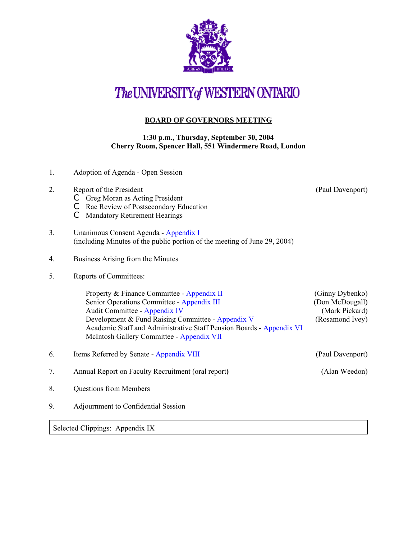

## The UNIVERSITY of WESTERN ONTARIO

## **BOARD OF GOVERNORS MEETING**

## **1:30 p.m., Thursday, September 30, 2004 Cherry Room, Spencer Hall, 551 Windermere Road, London**

1. Adoption of Agenda - Open Session 2. Report of the President (Paul Davenport) 2. C Greg Moran as Acting President C Rae Review of Postsecondary Education C Mandatory Retirement Hearings 3. Unanimous Consent Agenda - [Appendix I](http://www.uwo.ca/univsec/board/minutes/2004/r0409consent.pdf) (including Minutes of the public portion of the meeting of June 29, 2004) 4. Business Arising from the Minutes 5. Reports of Committees: Property & Finance Committee - [Appendix II](http://www.uwo.ca/univsec/board/minutes/2004/r0409pf.pdf) (Ginny Dybenko) Senior Operations Committee - [Appendix III](http://www.uwo.ca/univsec/board/minutes/2004/r0409srops.pdf) (Don McDougall) Audit Committee - [Appendix IV](http://www.uwo.ca/univsec/board/minutes/2004/r0409audit.pdf) (Mark Pickard) Development & Fund Raising Committee [- Appendix V](http://www.uwo.ca/univsec/board/minutes/2004/r0409dev.pdf) (Rosamond Ivey) Academic Staff and Administrative Staff Pension Boards - [Appendix VI](http://www.uwo.ca/univsec/board/minutes/2004/r0409pension.pdf) McIntosh Gallery Committee - [Appendix VII](http://www.uwo.ca/univsec/board/minutes/2004/r0409mcintosh.pdf) 6. Items Referred by Senate - [Appendix VIII](http://www.uwo.ca/univsec/board/minutes/2004/r0409senate.pdf) (Paul Davenport) 7. Annual Report on Faculty Recruitment (oral report**)** (Alan Weedon) 8. Questions from Members 9. Adjournment to Confidential Session

Selected Clippings: Appendix IX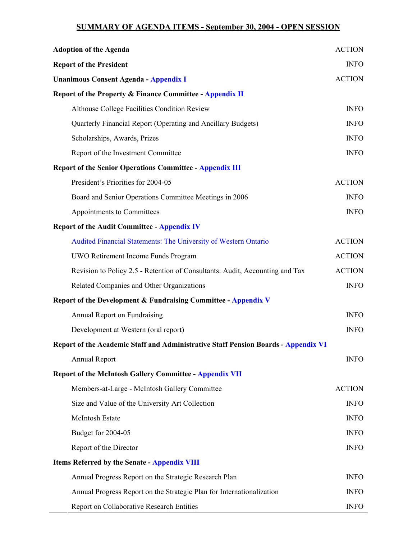## **SUMMARY OF AGENDA ITEMS - September 30, 2004 - OPEN SESSION**

| <b>Adoption of the Agenda</b>                                                             | <b>ACTION</b> |
|-------------------------------------------------------------------------------------------|---------------|
| <b>Report of the President</b>                                                            | <b>INFO</b>   |
| <b>Unanimous Consent Agenda - Appendix I</b>                                              | <b>ACTION</b> |
| <b>Report of the Property &amp; Finance Committee - Appendix II</b>                       |               |
| Althouse College Facilities Condition Review                                              | <b>INFO</b>   |
| Quarterly Financial Report (Operating and Ancillary Budgets)                              | <b>INFO</b>   |
| Scholarships, Awards, Prizes                                                              | <b>INFO</b>   |
| Report of the Investment Committee                                                        | <b>INFO</b>   |
| <b>Report of the Senior Operations Committee - Appendix III</b>                           |               |
| President's Priorities for 2004-05                                                        | <b>ACTION</b> |
| Board and Senior Operations Committee Meetings in 2006                                    | <b>INFO</b>   |
| Appointments to Committees                                                                | <b>INFO</b>   |
| <b>Report of the Audit Committee - Appendix IV</b>                                        |               |
| Audited Financial Statements: The University of Western Ontario                           | <b>ACTION</b> |
| UWO Retirement Income Funds Program                                                       | <b>ACTION</b> |
| Revision to Policy 2.5 - Retention of Consultants: Audit, Accounting and Tax              | <b>ACTION</b> |
| Related Companies and Other Organizations                                                 | <b>INFO</b>   |
| Report of the Development & Fundraising Committee - Appendix V                            |               |
| Annual Report on Fundraising                                                              | <b>INFO</b>   |
| Development at Western (oral report)                                                      | <b>INFO</b>   |
| <b>Report of the Academic Staff and Administrative Staff Pension Boards - Appendix VI</b> |               |
| <b>Annual Report</b>                                                                      | <b>INFO</b>   |
| <b>Report of the McIntosh Gallery Committee - Appendix VII</b>                            |               |
| Members-at-Large - McIntosh Gallery Committee                                             | <b>ACTION</b> |
| Size and Value of the University Art Collection                                           | <b>INFO</b>   |
| McIntosh Estate                                                                           | <b>INFO</b>   |
| Budget for 2004-05                                                                        | <b>INFO</b>   |
| Report of the Director                                                                    | <b>INFO</b>   |
| <b>Items Referred by the Senate - Appendix VIII</b>                                       |               |
| Annual Progress Report on the Strategic Research Plan                                     | <b>INFO</b>   |
| Annual Progress Report on the Strategic Plan for Internationalization                     | <b>INFO</b>   |
| Report on Collaborative Research Entities                                                 | <b>INFO</b>   |